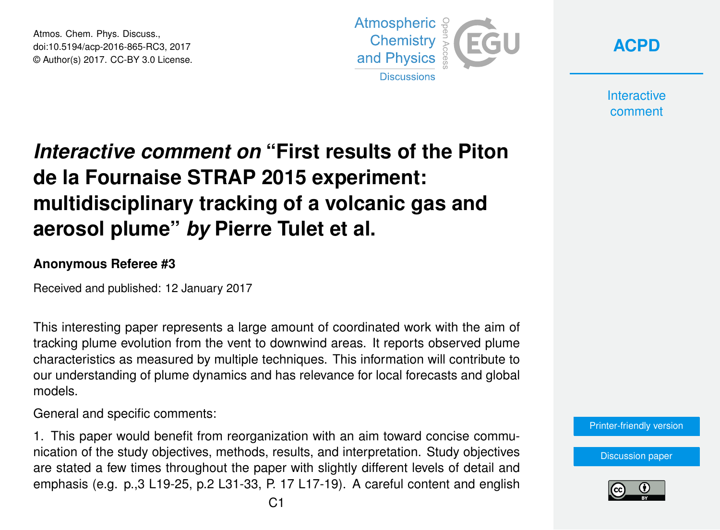Atmos. Chem. Phys. Discuss., doi:10.5194/acp-2016-865-RC3, 2017 © Author(s) 2017. CC-BY 3.0 License.





**Interactive** comment

## *Interactive comment on* **"First results of the Piton de la Fournaise STRAP 2015 experiment: multidisciplinary tracking of a volcanic gas and aerosol plume"** *by* **Pierre Tulet et al.**

## **Anonymous Referee #3**

Received and published: 12 January 2017

This interesting paper represents a large amount of coordinated work with the aim of tracking plume evolution from the vent to downwind areas. It reports observed plume characteristics as measured by multiple techniques. This information will contribute to our understanding of plume dynamics and has relevance for local forecasts and global models.

General and specific comments:

1. This paper would benefit from reorganization with an aim toward concise communication of the study objectives, methods, results, and interpretation. Study objectives are stated a few times throughout the paper with slightly different levels of detail and emphasis (e.g. p.,3 L19-25, p.2 L31-33, P. 17 L17-19). A careful content and english

[Printer-friendly version](http://www.atmos-chem-phys-discuss.net/acp-2016-865/acp-2016-865-RC3-print.pdf)

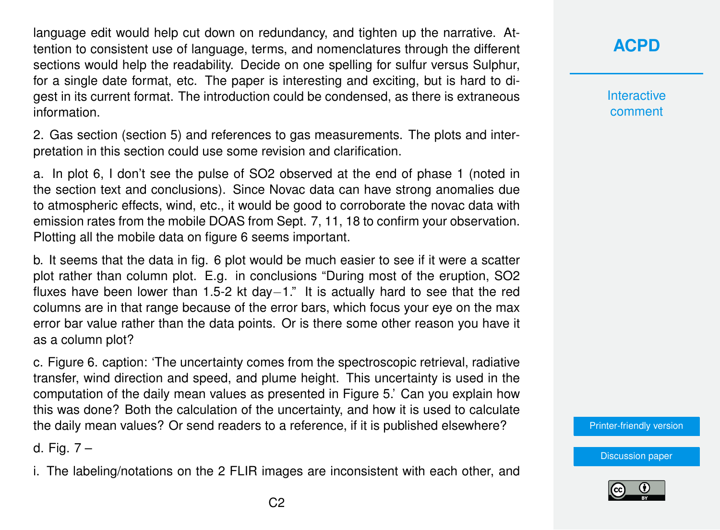language edit would help cut down on redundancy, and tighten up the narrative. Attention to consistent use of language, terms, and nomenclatures through the different sections would help the readability. Decide on one spelling for sulfur versus Sulphur, for a single date format, etc. The paper is interesting and exciting, but is hard to digest in its current format. The introduction could be condensed, as there is extraneous information.

2. Gas section (section 5) and references to gas measurements. The plots and interpretation in this section could use some revision and clarification.

a. In plot 6, I don't see the pulse of SO2 observed at the end of phase 1 (noted in the section text and conclusions). Since Novac data can have strong anomalies due to atmospheric effects, wind, etc., it would be good to corroborate the novac data with emission rates from the mobile DOAS from Sept. 7, 11, 18 to confirm your observation. Plotting all the mobile data on figure 6 seems important.

b. It seems that the data in fig. 6 plot would be much easier to see if it were a scatter plot rather than column plot. E.g. in conclusions "During most of the eruption, SO2 fluxes have been lower than 1.5-2 kt day−1." It is actually hard to see that the red columns are in that range because of the error bars, which focus your eye on the max error bar value rather than the data points. Or is there some other reason you have it as a column plot?

c. Figure 6. caption: 'The uncertainty comes from the spectroscopic retrieval, radiative transfer, wind direction and speed, and plume height. This uncertainty is used in the computation of the daily mean values as presented in Figure 5.' Can you explain how this was done? Both the calculation of the uncertainty, and how it is used to calculate the daily mean values? Or send readers to a reference, if it is published elsewhere?

d. Fig. 7 –

i. The labeling/notations on the 2 FLIR images are inconsistent with each other, and



**Interactive** comment

[Printer-friendly version](http://www.atmos-chem-phys-discuss.net/acp-2016-865/acp-2016-865-RC3-print.pdf)

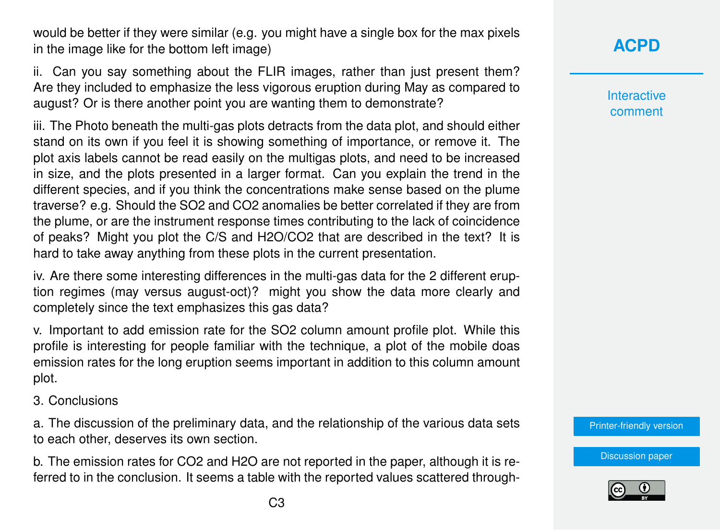would be better if they were similar (e.g. you might have a single box for the max pixels in the image like for the bottom left image)

ii. Can you say something about the FLIR images, rather than just present them? Are they included to emphasize the less vigorous eruption during May as compared to august? Or is there another point you are wanting them to demonstrate?

iii. The Photo beneath the multi-gas plots detracts from the data plot, and should either stand on its own if you feel it is showing something of importance, or remove it. The plot axis labels cannot be read easily on the multigas plots, and need to be increased in size, and the plots presented in a larger format. Can you explain the trend in the different species, and if you think the concentrations make sense based on the plume traverse? e.g. Should the SO2 and CO2 anomalies be better correlated if they are from the plume, or are the instrument response times contributing to the lack of coincidence of peaks? Might you plot the C/S and H2O/CO2 that are described in the text? It is hard to take away anything from these plots in the current presentation.

iv. Are there some interesting differences in the multi-gas data for the 2 different eruption regimes (may versus august-oct)? might you show the data more clearly and completely since the text emphasizes this gas data?

v. Important to add emission rate for the SO2 column amount profile plot. While this profile is interesting for people familiar with the technique, a plot of the mobile doas emission rates for the long eruption seems important in addition to this column amount plot.

3. Conclusions

a. The discussion of the preliminary data, and the relationship of the various data sets to each other, deserves its own section.

b. The emission rates for CO2 and H2O are not reported in the paper, although it is referred to in the conclusion. It seems a table with the reported values scattered through**Interactive** comment

[Printer-friendly version](http://www.atmos-chem-phys-discuss.net/acp-2016-865/acp-2016-865-RC3-print.pdf)

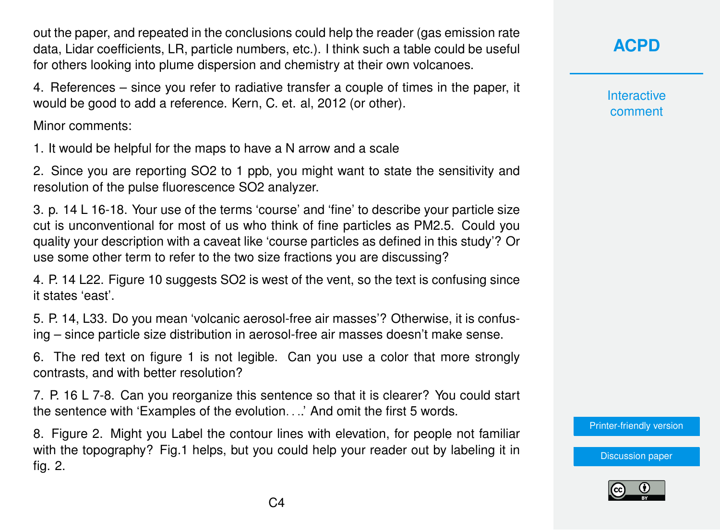out the paper, and repeated in the conclusions could help the reader (gas emission rate data, Lidar coefficients, LR, particle numbers, etc.). I think such a table could be useful for others looking into plume dispersion and chemistry at their own volcanoes.

4. References – since you refer to radiative transfer a couple of times in the paper, it would be good to add a reference. Kern, C. et. al, 2012 (or other).

Minor comments:

1. It would be helpful for the maps to have a N arrow and a scale

2. Since you are reporting SO2 to 1 ppb, you might want to state the sensitivity and resolution of the pulse fluorescence SO2 analyzer.

3. p. 14 L 16-18. Your use of the terms 'course' and 'fine' to describe your particle size cut is unconventional for most of us who think of fine particles as PM2.5. Could you quality your description with a caveat like 'course particles as defined in this study'? Or use some other term to refer to the two size fractions you are discussing?

4. P. 14 L22. Figure 10 suggests SO2 is west of the vent, so the text is confusing since it states 'east'.

5. P. 14, L33. Do you mean 'volcanic aerosol-free air masses'? Otherwise, it is confusing – since particle size distribution in aerosol-free air masses doesn't make sense.

6. The red text on figure 1 is not legible. Can you use a color that more strongly contrasts, and with better resolution?

7. P. 16 L 7-8. Can you reorganize this sentence so that it is clearer? You could start the sentence with 'Examples of the evolution. . ..' And omit the first 5 words.

8. Figure 2. Might you Label the contour lines with elevation, for people not familiar with the topography? Fig.1 helps, but you could help your reader out by labeling it in fig. 2.

**[ACPD](http://www.atmos-chem-phys-discuss.net/)**

**Interactive** comment

[Printer-friendly version](http://www.atmos-chem-phys-discuss.net/acp-2016-865/acp-2016-865-RC3-print.pdf)

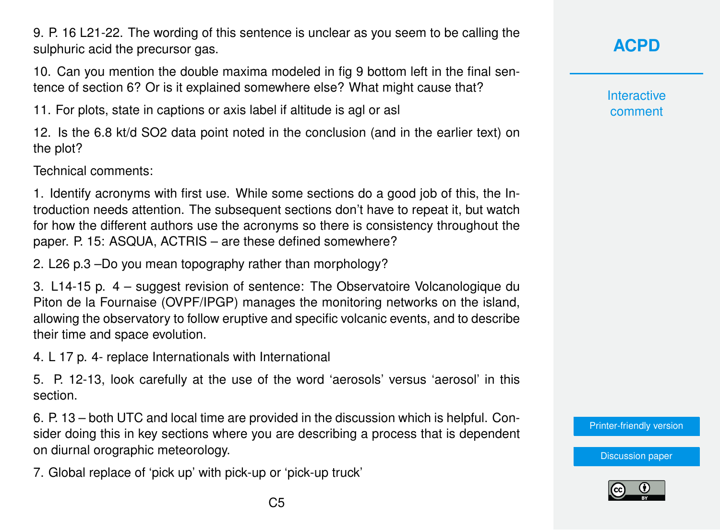9. P. 16 L21-22. The wording of this sentence is unclear as you seem to be calling the sulphuric acid the precursor gas.

10. Can you mention the double maxima modeled in fig 9 bottom left in the final sentence of section 6? Or is it explained somewhere else? What might cause that?

11. For plots, state in captions or axis label if altitude is agl or asl

12. Is the 6.8 kt/d SO2 data point noted in the conclusion (and in the earlier text) on the plot?

Technical comments:

1. Identify acronyms with first use. While some sections do a good job of this, the Introduction needs attention. The subsequent sections don't have to repeat it, but watch for how the different authors use the acronyms so there is consistency throughout the paper. P. 15: ASQUA, ACTRIS – are these defined somewhere?

2. L26 p.3 –Do you mean topography rather than morphology?

3. L14-15 p. 4 – suggest revision of sentence: The Observatoire Volcanologique du Piton de la Fournaise (OVPF/IPGP) manages the monitoring networks on the island, allowing the observatory to follow eruptive and specific volcanic events, and to describe their time and space evolution.

4. L 17 p. 4- replace Internationals with International

5. P. 12-13, look carefully at the use of the word 'aerosols' versus 'aerosol' in this section.

6. P. 13 – both UTC and local time are provided in the discussion which is helpful. Consider doing this in key sections where you are describing a process that is dependent on diurnal orographic meteorology.

7. Global replace of 'pick up' with pick-up or 'pick-up truck'

**Interactive** comment

[Printer-friendly version](http://www.atmos-chem-phys-discuss.net/acp-2016-865/acp-2016-865-RC3-print.pdf)